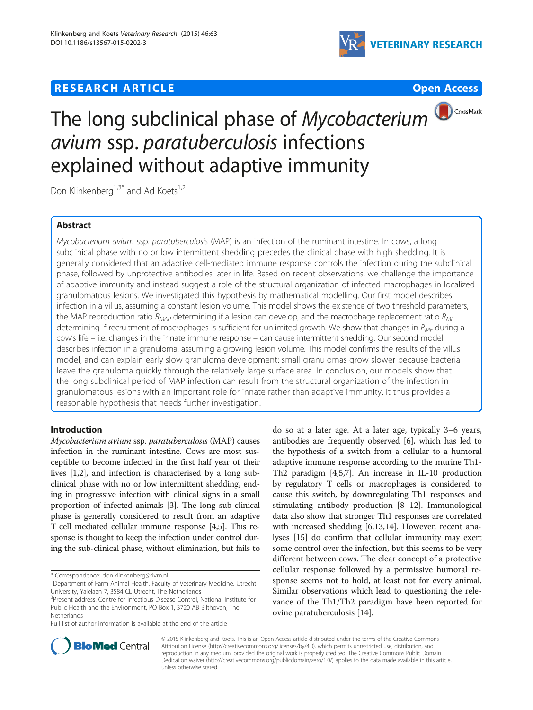## **RESEARCH ARTICLE Example 2014 12:30 THE Open Access**





# The long subclinical phase of Mycobacterium avium ssp. paratuberculosis infections explained without adaptive immunity

Don Klinkenberg<sup>1,3\*</sup> and Ad Koets<sup>1,2</sup>

## Abstract

Mycobacterium avium ssp. paratuberculosis (MAP) is an infection of the ruminant intestine. In cows, a long subclinical phase with no or low intermittent shedding precedes the clinical phase with high shedding. It is generally considered that an adaptive cell-mediated immune response controls the infection during the subclinical phase, followed by unprotective antibodies later in life. Based on recent observations, we challenge the importance of adaptive immunity and instead suggest a role of the structural organization of infected macrophages in localized granulomatous lesions. We investigated this hypothesis by mathematical modelling. Our first model describes infection in a villus, assuming a constant lesion volume. This model shows the existence of two threshold parameters, the MAP reproduction ratio  $R_{MAP}$  determining if a lesion can develop, and the macrophage replacement ratio  $R_{MF}$ determining if recruitment of macrophages is sufficient for unlimited growth. We show that changes in  $R_{MF}$  during a cow's life – i.e. changes in the innate immune response – can cause intermittent shedding. Our second model describes infection in a granuloma, assuming a growing lesion volume. This model confirms the results of the villus model, and can explain early slow granuloma development: small granulomas grow slower because bacteria leave the granuloma quickly through the relatively large surface area. In conclusion, our models show that the long subclinical period of MAP infection can result from the structural organization of the infection in granulomatous lesions with an important role for innate rather than adaptive immunity. It thus provides a reasonable hypothesis that needs further investigation.

## Introduction

Mycobacterium avium ssp. paratuberculosis (MAP) causes infection in the ruminant intestine. Cows are most susceptible to become infected in the first half year of their lives [\[1,2](#page-8-0)], and infection is characterised by a long subclinical phase with no or low intermittent shedding, ending in progressive infection with clinical signs in a small proportion of infected animals [[3](#page-8-0)]. The long sub-clinical phase is generally considered to result from an adaptive T cell mediated cellular immune response [[4,5](#page-8-0)]. This response is thought to keep the infection under control during the sub-clinical phase, without elimination, but fails to

do so at a later age. At a later age, typically 3–6 years, antibodies are frequently observed [\[6](#page-8-0)], which has led to the hypothesis of a switch from a cellular to a humoral adaptive immune response according to the murine Th1- Th2 paradigm [[4](#page-8-0),[5,7](#page-8-0)]. An increase in IL-10 production by regulatory T cells or macrophages is considered to cause this switch, by downregulating Th1 responses and stimulating antibody production [\[8](#page-8-0)–[12](#page-8-0)]. Immunological data also show that stronger Th1 responses are correlated with increased shedding [\[6,13](#page-8-0)[,14](#page-9-0)]. However, recent analyses [[15\]](#page-9-0) do confirm that cellular immunity may exert some control over the infection, but this seems to be very different between cows. The clear concept of a protective cellular response followed by a permissive humoral response seems not to hold, at least not for every animal. Similar observations which lead to questioning the relevance of the Th1/Th2 paradigm have been reported for ovine paratuberculosis [\[14](#page-9-0)].



© 2015 Klinkenberg and Koets. This is an Open Access article distributed under the terms of the Creative Commons Attribution License (<http://creativecommons.org/licenses/by/4.0>), which permits unrestricted use, distribution, and reproduction in any medium, provided the original work is properly credited. The Creative Commons Public Domain Dedication waiver [\(http://creativecommons.org/publicdomain/zero/1.0/](http://creativecommons.org/publicdomain/zero/1.0/)) applies to the data made available in this article, unless otherwise stated.

<sup>\*</sup> Correspondence: [don.klinkenberg@rivm.nl](mailto:don.klinkenberg@rivm.nl) <sup>1</sup>

<sup>&</sup>lt;sup>1</sup>Department of Farm Animal Health, Faculty of Veterinary Medicine, Utrecht University, Yalelaan 7, 3584 CL Utrecht, The Netherlands

<sup>&</sup>lt;sup>3</sup>Present address: Centre for Infectious Disease Control, National Institute for Public Health and the Environment, PO Box 1, 3720 AB Bilthoven, The Netherlands

Full list of author information is available at the end of the article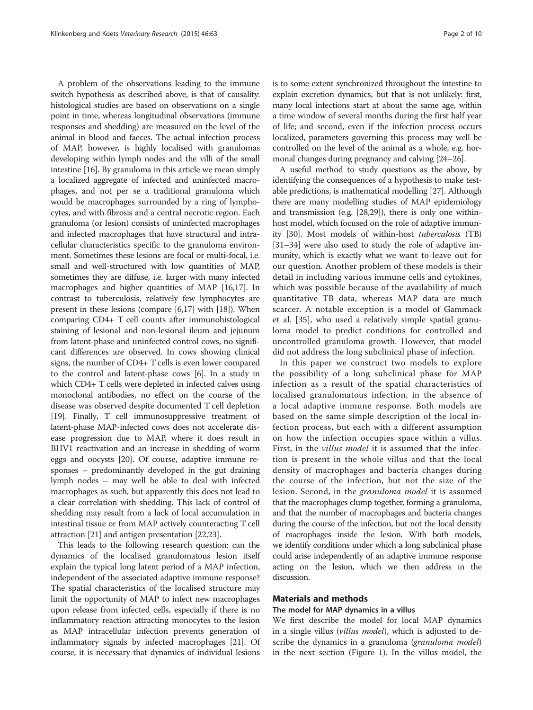A problem of the observations leading to the immune switch hypothesis as described above, is that of causality: histological studies are based on observations on a single point in time, whereas longitudinal observations (immune responses and shedding) are measured on the level of the animal in blood and faeces. The actual infection process of MAP, however, is highly localised with granulomas developing within lymph nodes and the villi of the small intestine [\[16\]](#page-9-0). By granuloma in this article we mean simply a localized aggregate of infected and uninfected macrophages, and not per se a traditional granuloma which would be macrophages surrounded by a ring of lymphocytes, and with fibrosis and a central necrotic region. Each granuloma (or lesion) consists of uninfected macrophages and infected macrophages that have structural and intracellular characteristics specific to the granuloma environment. Sometimes these lesions are focal or multi-focal, i.e. small and well-structured with low quantities of MAP, sometimes they are diffuse, i.e. larger with many infected macrophages and higher quantities of MAP [[16,17\]](#page-9-0). In contrast to tuberculosis, relatively few lymphocytes are present in these lesions (compare [\[6](#page-8-0)[,17\]](#page-9-0) with [[18](#page-9-0)]). When comparing CD4+ T cell counts after immunohistological staining of lesional and non-lesional ileum and jejunum from latent-phase and uninfected control cows, no significant differences are observed. In cows showing clinical signs, the number of CD4+ T cells is even lower compared to the control and latent-phase cows [\[6\]](#page-8-0). In a study in which CD4+ T cells were depleted in infected calves using monoclonal antibodies, no effect on the course of the disease was observed despite documented T cell depletion [[19](#page-9-0)]. Finally, T cell immunosuppressive treatment of latent-phase MAP-infected cows does not accelerate disease progression due to MAP, where it does result in BHV1 reactivation and an increase in shedding of worm eggs and oocysts [\[20\]](#page-9-0). Of course, adaptive immune responses – predominantly developed in the gut draining lymph nodes – may well be able to deal with infected macrophages as such, but apparently this does not lead to a clear correlation with shedding. This lack of control of shedding may result from a lack of local accumulation in intestinal tissue or from MAP actively counteracting T cell attraction [[21](#page-9-0)] and antigen presentation [[22,23](#page-9-0)].

This leads to the following research question: can the dynamics of the localised granulomatous lesion itself explain the typical long latent period of a MAP infection, independent of the associated adaptive immune response? The spatial characteristics of the localised structure may limit the opportunity of MAP to infect new macrophages upon release from infected cells, especially if there is no inflammatory reaction attracting monocytes to the lesion as MAP intracellular infection prevents generation of inflammatory signals by infected macrophages [\[21\]](#page-9-0). Of course, it is necessary that dynamics of individual lesions

is to some extent synchronized throughout the intestine to explain excretion dynamics, but that is not unlikely: first, many local infections start at about the same age, within a time window of several months during the first half year of life; and second, even if the infection process occurs localized, parameters governing this process may well be controlled on the level of the animal as a whole, e.g. hormonal changes during pregnancy and calving [[24](#page-9-0)–[26\]](#page-9-0).

A useful method to study questions as the above, by identifying the consequences of a hypothesis to make testable predictions, is mathematical modelling [\[27](#page-9-0)]. Although there are many modelling studies of MAP epidemiology and transmission (e.g. [\[28,29\]](#page-9-0)), there is only one withinhost model, which focused on the role of adaptive immunity [\[30\]](#page-9-0). Most models of within-host tuberculosis (TB) [[31](#page-9-0)–[34\]](#page-9-0) were also used to study the role of adaptive immunity, which is exactly what we want to leave out for our question. Another problem of these models is their detail in including various immune cells and cytokines, which was possible because of the availability of much quantitative TB data, whereas MAP data are much scarcer. A notable exception is a model of Gammack et al. [\[35\]](#page-9-0), who used a relatively simple spatial granuloma model to predict conditions for controlled and uncontrolled granuloma growth. However, that model did not address the long subclinical phase of infection.

In this paper we construct two models to explore the possibility of a long subclinical phase for MAP infection as a result of the spatial characteristics of localised granulomatous infection, in the absence of a local adaptive immune response. Both models are based on the same simple description of the local infection process, but each with a different assumption on how the infection occupies space within a villus. First, in the *villus model* it is assumed that the infection is present in the whole villus and that the local density of macrophages and bacteria changes during the course of the infection, but not the size of the lesion. Second, in the granuloma model it is assumed that the macrophages clump together, forming a granuloma, and that the number of macrophages and bacteria changes during the course of the infection, but not the local density of macrophages inside the lesion. With both models, we identify conditions under which a long subclinical phase could arise independently of an adaptive immune response acting on the lesion, which we then address in the discussion.

## Materials and methods

#### The model for MAP dynamics in a villus

We first describe the model for local MAP dynamics in a single villus (*villus model*), which is adjusted to describe the dynamics in a granuloma (*granuloma model*) in the next section (Figure [1](#page-2-0)). In the villus model, the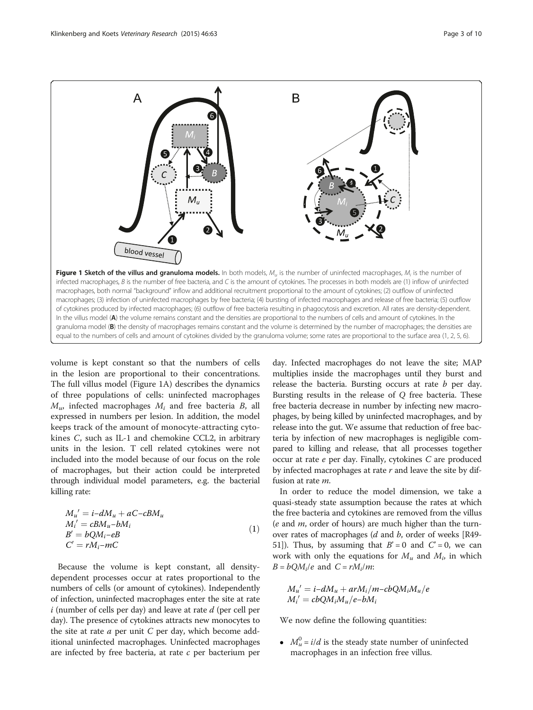<span id="page-2-0"></span>

volume is kept constant so that the numbers of cells in the lesion are proportional to their concentrations. The full villus model (Figure 1A) describes the dynamics of three populations of cells: uninfected macrophages  $M_{\mu\nu}$  infected macrophages  $M_i$  and free bacteria B, all expressed in numbers per lesion. In addition, the model keeps track of the amount of monocyte-attracting cytokines C, such as IL-1 and chemokine CCL2, in arbitrary units in the lesion. T cell related cytokines were not included into the model because of our focus on the role of macrophages, but their action could be interpreted through individual model parameters, e.g. the bacterial killing rate:

$$
M_u' = i - dM_u + aC - cBM_u
$$
  
\n
$$
M_i' = cBM_u - bM_i
$$
  
\n
$$
B' = bQM_i - eB
$$
  
\n
$$
C' = rM_i - mC
$$
\n(1)

Because the volume is kept constant, all densitydependent processes occur at rates proportional to the numbers of cells (or amount of cytokines). Independently of infection, uninfected macrophages enter the site at rate  $i$  (number of cells per day) and leave at rate  $d$  (per cell per day). The presence of cytokines attracts new monocytes to the site at rate  $a$  per unit  $C$  per day, which become additional uninfected macrophages. Uninfected macrophages are infected by free bacteria, at rate  $c$  per bacterium per day. Infected macrophages do not leave the site; MAP multiplies inside the macrophages until they burst and release the bacteria. Bursting occurs at rate  $b$  per day. Bursting results in the release of Q free bacteria. These free bacteria decrease in number by infecting new macrophages, by being killed by uninfected macrophages, and by release into the gut. We assume that reduction of free bacteria by infection of new macrophages is negligible compared to killing and release, that all processes together occur at rate e per day. Finally, cytokines C are produced by infected macrophages at rate  $r$  and leave the site by diffusion at rate m.

In order to reduce the model dimension, we take a quasi-steady state assumption because the rates at which the free bacteria and cytokines are removed from the villus (e and  $m$ , order of hours) are much higher than the turnover rates of macrophages ( $d$  and  $b$ , order of weeks [R49-51]). Thus, by assuming that  $B' = 0$  and  $C' = 0$ , we can work with only the equations for  $M_u$  and  $M_i$ , in which  $B = bQM_i/e$  and  $C = rM_i/m$ :

$$
M_{u}^{\prime} = i - dM_{u} + arM_{i}/m - cbQM_{i}M_{u}/e
$$
  

$$
M_{i}^{\prime} = cbQM_{i}M_{u}/e-bM_{i}
$$

We now define the following quantities:

•  $M_u^0 = i/d$  is the steady state number of uninfected macrophages in an infection free villus.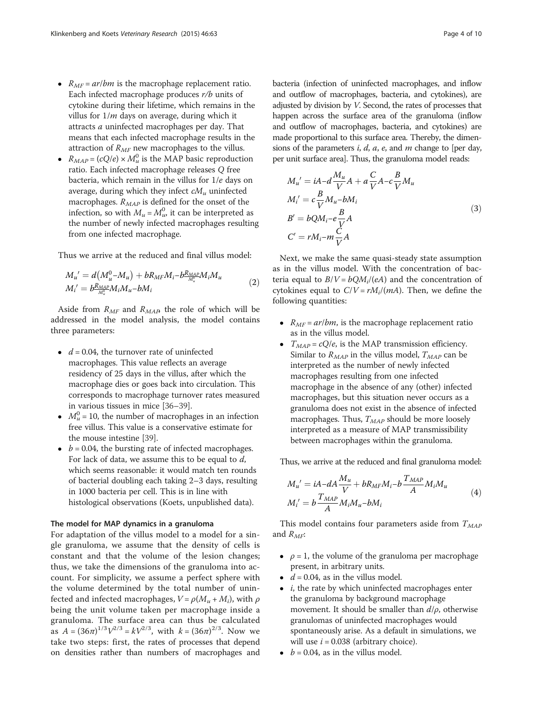- <span id="page-3-0"></span>•  $R_{MF} = ar/bm$  is the macrophage replacement ratio. Each infected macrophage produces r/b units of cytokine during their lifetime, which remains in the villus for  $1/m$  days on average, during which it attracts a uninfected macrophages per day. That means that each infected macrophage results in the attraction of  $R_{MF}$  new macrophages to the villus.
- $R_{MAP} = (cQ/e) \times M_u^0$  is the MAP basic reproduction ratio. Each infected macrophage releases Q free bacteria, which remain in the villus for 1/e days on average, during which they infect  $cM_u$  uninfected macrophages.  $R_{MAP}$  is defined for the onset of the infection, so with  $M_u = M_u^0$ , it can be interpreted as the number of newly infected macrophages resulting from one infected macrophage.

Thus we arrive at the reduced and final villus model:

$$
M_{u}^{\prime} = d\left(M_u^0 - M_u\right) + bR_{MF}M_i - b\frac{R_{MAP}}{M_u^0}M_iM_u
$$
  
\n
$$
M_i^{\prime} = b\frac{R_{MAP}}{M_u^0}M_iM_u - bM_i
$$
\n(2)

Aside from  $R_{MF}$  and  $R_{MAD}$  the role of which will be addressed in the model analysis, the model contains three parameters:

u

- $\bullet$   $d = 0.04$ , the turnover rate of uninfected macrophages. This value reflects an average residency of 25 days in the villus, after which the macrophage dies or goes back into circulation. This corresponds to macrophage turnover rates measured in various tissues in mice [\[36](#page-9-0)–[39\]](#page-9-0).
- $\bullet$   $M_u^0 = 10$ , the number of macrophages in an infection free villus. This value is a conservative estimate for the mouse intestine [[39](#page-9-0)].
- $\bullet$  *b* = 0.04, the bursting rate of infected macrophages. For lack of data, we assume this to be equal to  $d$ , which seems reasonable: it would match ten rounds of bacterial doubling each taking 2–3 days, resulting in 1000 bacteria per cell. This is in line with histological observations (Koets, unpublished data).

#### The model for MAP dynamics in a granuloma

For adaptation of the villus model to a model for a single granuloma, we assume that the density of cells is constant and that the volume of the lesion changes; thus, we take the dimensions of the granuloma into account. For simplicity, we assume a perfect sphere with the volume determined by the total number of uninfected and infected macrophages,  $V = \rho(M_u + M_i)$ , with  $\rho$ being the unit volume taken per macrophage inside a granuloma. The surface area can thus be calculated as  $A = (36\pi)^{1/3} V^{2/3} = kV^{2/3}$ , with  $k = (36\pi)^{2/3}$ . Now we take two steps: first, the rates of processes that depend on densities rather than numbers of macrophages and bacteria (infection of uninfected macrophages, and inflow and outflow of macrophages, bacteria, and cytokines), are adjusted by division by V. Second, the rates of processes that happen across the surface area of the granuloma (inflow and outflow of macrophages, bacteria, and cytokines) are made proportional to this surface area. Thereby, the dimensions of the parameters i, d, a, e, and m change to [per day, per unit surface area]. Thus, the granuloma model reads:

$$
M_{u}^{\prime} = iA - d\frac{M_{u}}{V}A + a\frac{C}{V}A - c\frac{B}{V}M_{u}
$$
  
\n
$$
M_{i}^{\prime} = c\frac{B}{V}M_{u} - bM_{i}
$$
  
\n
$$
B^{\prime} = bQM_{i} - e\frac{B}{V}A
$$
  
\n
$$
C^{\prime} = rM_{i} - m\frac{C}{V}A
$$
\n(3)

Next, we make the same quasi-steady state assumption as in the villus model. With the concentration of bacteria equal to  $B/V = bOM<sub>i</sub>/(eA)$  and the concentration of cytokines equal to  $C/V = rM_i/(mA)$ . Then, we define the following quantities:

- $R_{MF} = ar/bm$ , is the macrophage replacement ratio as in the villus model.
- $T_{MAP} = cQ/e$ , is the MAP transmission efficiency. Similar to  $R_{MAP}$  in the villus model,  $T_{MAP}$  can be interpreted as the number of newly infected macrophages resulting from one infected macrophage in the absence of any (other) infected macrophages, but this situation never occurs as a granuloma does not exist in the absence of infected macrophages. Thus,  $T_{MAP}$  should be more loosely interpreted as a measure of MAP transmissibility between macrophages within the granuloma.

Thus, we arrive at the reduced and final granuloma model:

$$
M_{u}^{\prime} = iA - dA \frac{M_{u}}{V} + bR_{MF}M_{i} - b \frac{T_{MAP}}{A} M_{i}M_{u}
$$
  

$$
M_{i}^{\prime} = b \frac{T_{MAP}}{A} M_{i}M_{u} - bM_{i}
$$
 (4)

This model contains four parameters aside from  $T_{MAP}$ and  $R_{MF}$ :

- $\rho = 1$ , the volume of the granuloma per macrophage present, in arbitrary units.
- $\bullet$   $d = 0.04$ , as in the villus model.
- $\bullet$  *i*, the rate by which uninfected macrophages enter the granuloma by background macrophage movement. It should be smaller than  $d/\rho$ , otherwise granulomas of uninfected macrophages would spontaneously arise. As a default in simulations, we will use  $i = 0.038$  (arbitrary choice).
- $\bullet$  *b* = 0.04, as in the villus model.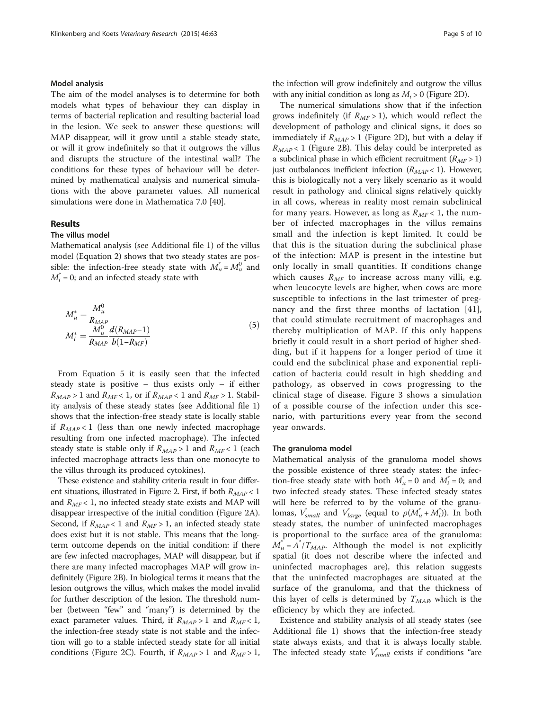#### Model analysis

The aim of the model analyses is to determine for both models what types of behaviour they can display in terms of bacterial replication and resulting bacterial load in the lesion. We seek to answer these questions: will MAP disappear, will it grow until a stable steady state, or will it grow indefinitely so that it outgrows the villus and disrupts the structure of the intestinal wall? The conditions for these types of behaviour will be determined by mathematical analysis and numerical simulations with the above parameter values. All numerical simulations were done in Mathematica 7.0 [\[40](#page-9-0)].

### Results

#### The villus model

Mathematical analysis (see Additional file [1\)](#page-8-0) of the villus model (Equation [2\)](#page-3-0) shows that two steady states are possible: the infection-free steady state with  $M_u^* = M_u^0$  and  $M_{i}^{*}$  = 0; and an infected steady state with

$$
M_{u}^{*} = \frac{M_{u}^{0}}{R_{MAP}} M_{i}^{*} = \frac{M_{u}^{0}}{R_{MAP}} \frac{d(R_{MAP}-1)}{b(1-R_{MF})}
$$
(5)

From Equation 5 it is easily seen that the infected steady state is positive – thus exists only – if either  $R_{MAP} > 1$  and  $R_{MF} < 1$ , or if  $R_{MAP} < 1$  and  $R_{MF} > 1$ . Stability analysis of these steady states (see Additional file [1](#page-8-0)) shows that the infection-free steady state is locally stable if  $R_{MAP} < 1$  (less than one newly infected macrophage resulting from one infected macrophage). The infected steady state is stable only if  $R_{MAP} > 1$  and  $R_{MF} < 1$  (each infected macrophage attracts less than one monocyte to the villus through its produced cytokines).

These existence and stability criteria result in four differ-ent situations, illustrated in Figure [2.](#page-5-0) First, if both  $R_{MAP} < 1$ and  $R_{MF}$  < 1, no infected steady state exists and MAP will disappear irrespective of the initial condition (Figure [2](#page-5-0)A). Second, if  $R_{MAP} < 1$  and  $R_{MF} > 1$ , an infected steady state does exist but it is not stable. This means that the longterm outcome depends on the initial condition: if there are few infected macrophages, MAP will disappear, but if there are many infected macrophages MAP will grow indefinitely (Figure [2B](#page-5-0)). In biological terms it means that the lesion outgrows the villus, which makes the model invalid for further description of the lesion. The threshold number (between "few" and "many") is determined by the exact parameter values. Third, if  $R_{MAP} > 1$  and  $R_{MF} < 1$ , the infection-free steady state is not stable and the infection will go to a stable infected steady state for all initial conditions (Figure [2C](#page-5-0)). Fourth, if  $R_{MAP} > 1$  and  $R_{MF} > 1$ ,

the infection will grow indefinitely and outgrow the villus with any initial condition as long as  $M_i > 0$  (Figure [2](#page-5-0)D).

The numerical simulations show that if the infection grows indefinitely (if  $R_{MF} > 1$ ), which would reflect the development of pathology and clinical signs, it does so immediately if  $R_{MAP} > 1$  (Figure [2](#page-5-0)D), but with a delay if  $R_{MAP}$ < 1 (Figure [2](#page-5-0)B). This delay could be interpreted as a subclinical phase in which efficient recruitment ( $R_{MF} > 1$ ) just outbalances inefficient infection  $(R_{MAP} < 1)$ . However, this is biologically not a very likely scenario as it would result in pathology and clinical signs relatively quickly in all cows, whereas in reality most remain subclinical for many years. However, as long as  $R_{MF}$  < 1, the number of infected macrophages in the villus remains small and the infection is kept limited. It could be that this is the situation during the subclinical phase of the infection: MAP is present in the intestine but only locally in small quantities. If conditions change which causes  $R_{MF}$  to increase across many villi, e.g. when leucocyte levels are higher, when cows are more susceptible to infections in the last trimester of pregnancy and the first three months of lactation [[41\]](#page-9-0), that could stimulate recruitment of macrophages and thereby multiplication of MAP. If this only happens briefly it could result in a short period of higher shedding, but if it happens for a longer period of time it could end the subclinical phase and exponential replication of bacteria could result in high shedding and pathology, as observed in cows progressing to the clinical stage of disease. Figure [3](#page-5-0) shows a simulation of a possible course of the infection under this scenario, with parturitions every year from the second year onwards.

#### The granuloma model

Mathematical analysis of the granuloma model shows the possible existence of three steady states: the infection-free steady state with both  $M^*_{\iota} = 0$  and  $M^*_{\iota} = 0$ ; and two infected steady states. These infected steady states will here be referred to by the volume of the granulomas,  $V_{small}$  and  $V_{large}$  (equal to  $\rho(M_u^* + M_i^*)$ ). In both steady states, the number of uninfected macrophages is proportional to the surface area of the granuloma:  $M_u^* = A^* / T_{MAP}$ . Although the model is not explicitly spatial (it does not describe where the infected and uninfected macrophages are), this relation suggests that the uninfected macrophages are situated at the surface of the granuloma, and that the thickness of this layer of cells is determined by  $T_{MAP}$ , which is the efficiency by which they are infected.

Existence and stability analysis of all steady states (see Additional file [1](#page-8-0)) shows that the infection-free steady state always exists, and that it is always locally stable. The infected steady state  $V_{small}$  exists if conditions "are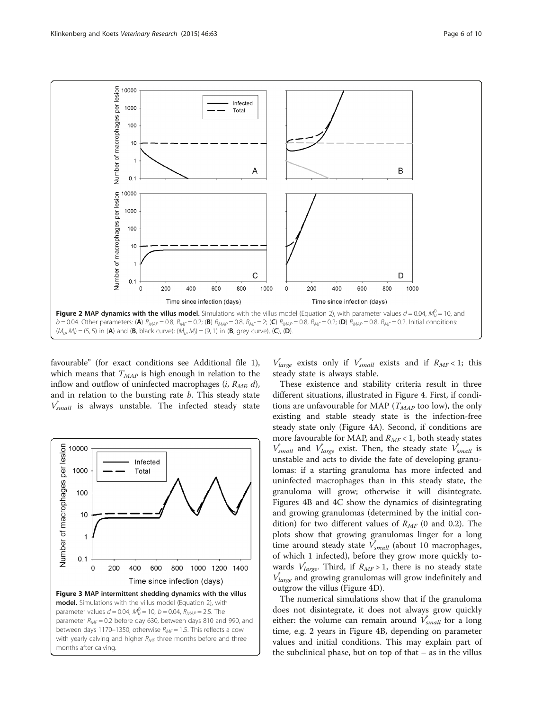<span id="page-5-0"></span>

favourable" (for exact conditions see Additional file [1](#page-8-0)), which means that  $T_{MAP}$  is high enough in relation to the inflow and outflow of uninfected macrophages  $(i, R<sub>MB</sub>, d)$ , and in relation to the bursting rate b. This steady state  $V_{small}$  is always unstable. The infected steady state



 $V_{large}$  exists only if  $V_{small}$  exists and if  $R_{MF}$ <1; this steady state is always stable.

These existence and stability criteria result in three different situations, illustrated in Figure [4](#page-6-0). First, if conditions are unfavourable for MAP ( $T_{MAP}$  too low), the only existing and stable steady state is the infection-free steady state only (Figure [4](#page-6-0)A). Second, if conditions are more favourable for MAP, and  $R_{MF}$  < 1, both steady states  $V_{small}$  and  $V_{large}$  exist. Then, the steady state  $V_{small}$  is unstable and acts to divide the fate of developing granulomas: if a starting granuloma has more infected and uninfected macrophages than in this steady state, the granuloma will grow; otherwise it will disintegrate. Figures [4](#page-6-0)B and [4C](#page-6-0) show the dynamics of disintegrating and growing granulomas (determined by the initial condition) for two different values of  $R_{MF}$  (0 and 0.2). The plots show that growing granulomas linger for a long time around steady state  $V_{small}^{s}$  (about 10 macrophages, of which 1 infected), before they grow more quickly towards  $V_{large}$ . Third, if  $R_{MF} > 1$ , there is no steady state  $V_{large}$  and growing granulomas will grow indefinitely and outgrow the villus (Figure [4](#page-6-0)D).

The numerical simulations show that if the granuloma does not disintegrate, it does not always grow quickly either: the volume can remain around  $V_{small}$  for a long time, e.g. 2 years in Figure [4B](#page-6-0), depending on parameter values and initial conditions. This may explain part of the subclinical phase, but on top of that – as in the villus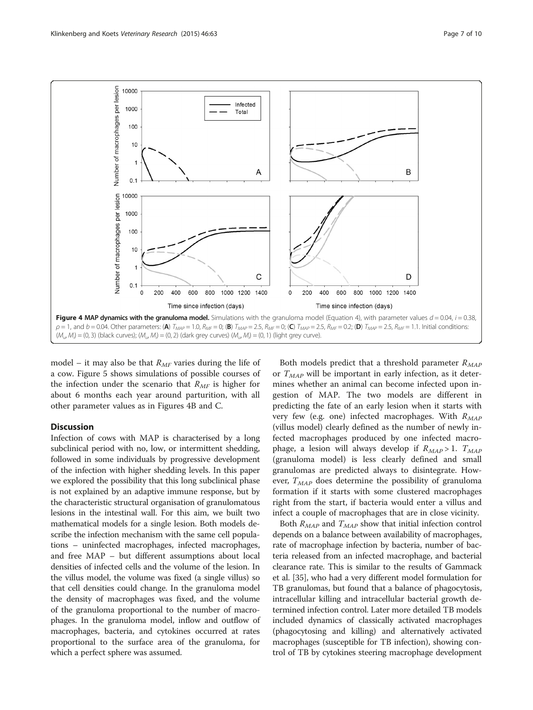<span id="page-6-0"></span>

model – it may also be that  $R_{MF}$  varies during the life of a cow. Figure [5](#page-7-0) shows simulations of possible courses of the infection under the scenario that  $R_{MF}$  is higher for about 6 months each year around parturition, with all other parameter values as in Figures 4B and C.

## **Discussion**

Infection of cows with MAP is characterised by a long subclinical period with no, low, or intermittent shedding, followed in some individuals by progressive development of the infection with higher shedding levels. In this paper we explored the possibility that this long subclinical phase is not explained by an adaptive immune response, but by the characteristic structural organisation of granulomatous lesions in the intestinal wall. For this aim, we built two mathematical models for a single lesion. Both models describe the infection mechanism with the same cell populations – uninfected macrophages, infected macrophages, and free MAP – but different assumptions about local densities of infected cells and the volume of the lesion. In the villus model, the volume was fixed (a single villus) so that cell densities could change. In the granuloma model the density of macrophages was fixed, and the volume of the granuloma proportional to the number of macrophages. In the granuloma model, inflow and outflow of macrophages, bacteria, and cytokines occurred at rates proportional to the surface area of the granuloma, for which a perfect sphere was assumed.

Both models predict that a threshold parameter  $R_{MAP}$ or  $T_{MAP}$  will be important in early infection, as it determines whether an animal can become infected upon ingestion of MAP. The two models are different in predicting the fate of an early lesion when it starts with very few (e.g. one) infected macrophages. With  $R_{MAP}$ (villus model) clearly defined as the number of newly infected macrophages produced by one infected macrophage, a lesion will always develop if  $R_{MAP} > 1$ .  $T_{MAP}$ (granuloma model) is less clearly defined and small granulomas are predicted always to disintegrate. However,  $T_{MAP}$  does determine the possibility of granuloma formation if it starts with some clustered macrophages right from the start, if bacteria would enter a villus and infect a couple of macrophages that are in close vicinity.

Both  $R_{MAP}$  and  $T_{MAP}$  show that initial infection control depends on a balance between availability of macrophages, rate of macrophage infection by bacteria, number of bacteria released from an infected macrophage, and bacterial clearance rate. This is similar to the results of Gammack et al. [\[35\]](#page-9-0), who had a very different model formulation for TB granulomas, but found that a balance of phagocytosis, intracellular killing and intracellular bacterial growth determined infection control. Later more detailed TB models included dynamics of classically activated macrophages (phagocytosing and killing) and alternatively activated macrophages (susceptible for TB infection), showing control of TB by cytokines steering macrophage development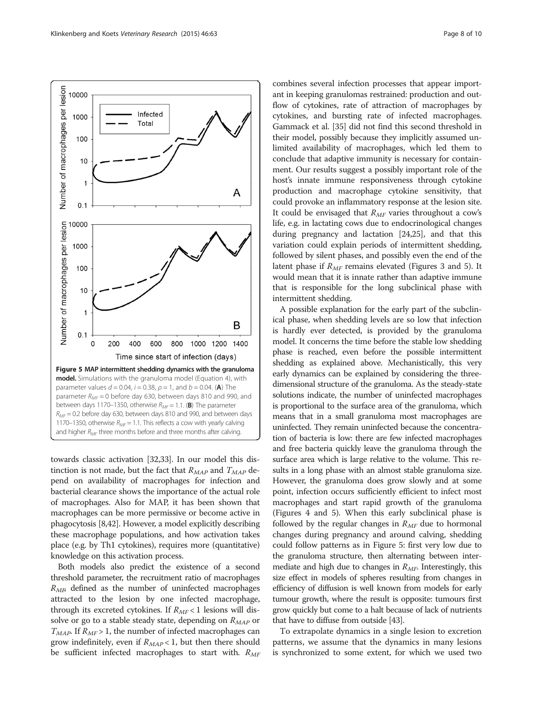<span id="page-7-0"></span>

towards classic activation [\[32,33\]](#page-9-0). In our model this distinction is not made, but the fact that  $R_{MAP}$  and  $T_{MAP}$  depend on availability of macrophages for infection and bacterial clearance shows the importance of the actual role of macrophages. Also for MAP, it has been shown that macrophages can be more permissive or become active in phagocytosis [\[8,](#page-8-0)[42\]](#page-9-0). However, a model explicitly describing these macrophage populations, and how activation takes place (e.g. by Th1 cytokines), requires more (quantitative) knowledge on this activation process.

Both models also predict the existence of a second threshold parameter, the recruitment ratio of macrophages  $R_{MB}$  defined as the number of uninfected macrophages attracted to the lesion by one infected macrophage, through its excreted cytokines. If  $R_{MF}$  < 1 lesions will dissolve or go to a stable steady state, depending on  $R_{MAP}$  or  $T_{MAP}$ . If  $R_{MF} > 1$ , the number of infected macrophages can grow indefinitely, even if  $R_{MAP} < 1$ , but then there should be sufficient infected macrophages to start with.  $R_{MF}$ 

combines several infection processes that appear important in keeping granulomas restrained: production and outflow of cytokines, rate of attraction of macrophages by cytokines, and bursting rate of infected macrophages. Gammack et al. [\[35](#page-9-0)] did not find this second threshold in their model, possibly because they implicitly assumed unlimited availability of macrophages, which led them to conclude that adaptive immunity is necessary for containment. Our results suggest a possibly important role of the host's innate immune responsiveness through cytokine production and macrophage cytokine sensitivity, that could provoke an inflammatory response at the lesion site. It could be envisaged that  $R_{MF}$  varies throughout a cow's life, e.g. in lactating cows due to endocrinological changes during pregnancy and lactation [[24,25](#page-9-0)], and that this variation could explain periods of intermittent shedding, followed by silent phases, and possibly even the end of the latent phase if  $R_{MF}$  remains elevated (Figures [3](#page-5-0) and 5). It would mean that it is innate rather than adaptive immune that is responsible for the long subclinical phase with intermittent shedding.

A possible explanation for the early part of the subclinical phase, when shedding levels are so low that infection is hardly ever detected, is provided by the granuloma model. It concerns the time before the stable low shedding phase is reached, even before the possible intermittent shedding as explained above. Mechanistically, this very early dynamics can be explained by considering the threedimensional structure of the granuloma. As the steady-state solutions indicate, the number of uninfected macrophages is proportional to the surface area of the granuloma, which means that in a small granuloma most macrophages are uninfected. They remain uninfected because the concentration of bacteria is low: there are few infected macrophages and free bacteria quickly leave the granuloma through the surface area which is large relative to the volume. This results in a long phase with an almost stable granuloma size. However, the granuloma does grow slowly and at some point, infection occurs sufficiently efficient to infect most macrophages and start rapid growth of the granuloma (Figures [4](#page-6-0) and 5). When this early subclinical phase is followed by the regular changes in  $R_{MF}$  due to hormonal changes during pregnancy and around calving, shedding could follow patterns as in Figure 5: first very low due to the granuloma structure, then alternating between intermediate and high due to changes in  $R_{MF}$ . Interestingly, this size effect in models of spheres resulting from changes in efficiency of diffusion is well known from models for early tumour growth, where the result is opposite: tumours first grow quickly but come to a halt because of lack of nutrients that have to diffuse from outside [[43](#page-9-0)].

To extrapolate dynamics in a single lesion to excretion patterns, we assume that the dynamics in many lesions is synchronized to some extent, for which we used two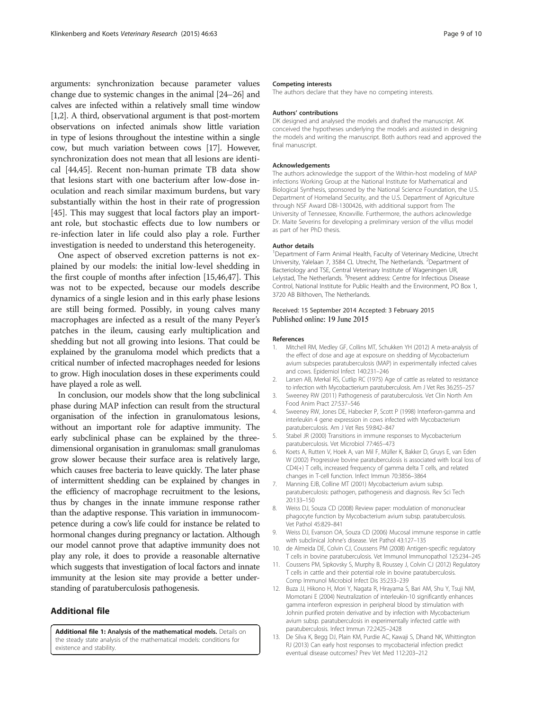<span id="page-8-0"></span>arguments: synchronization because parameter values change due to systemic changes in the animal [[24](#page-9-0)–[26\]](#page-9-0) and calves are infected within a relatively small time window [1,2]. A third, observational argument is that post-mortem observations on infected animals show little variation in type of lesions throughout the intestine within a single cow, but much variation between cows [\[17\]](#page-9-0). However, synchronization does not mean that all lesions are identical [\[44,45\]](#page-9-0). Recent non-human primate TB data show that lesions start with one bacterium after low-dose inoculation and reach similar maximum burdens, but vary substantially within the host in their rate of progression [[45\]](#page-9-0). This may suggest that local factors play an important role, but stochastic effects due to low numbers or re-infection later in life could also play a role. Further investigation is needed to understand this heterogeneity.

One aspect of observed excretion patterns is not explained by our models: the initial low-level shedding in the first couple of months after infection [\[15,46,47](#page-9-0)]. This was not to be expected, because our models describe dynamics of a single lesion and in this early phase lesions are still being formed. Possibly, in young calves many macrophages are infected as a result of the many Peyer's patches in the ileum, causing early multiplication and shedding but not all growing into lesions. That could be explained by the granuloma model which predicts that a critical number of infected macrophages needed for lesions to grow. High inoculation doses in these experiments could have played a role as well.

In conclusion, our models show that the long subclinical phase during MAP infection can result from the structural organisation of the infection in granulomatous lesions, without an important role for adaptive immunity. The early subclinical phase can be explained by the threedimensional organisation in granulomas: small granulomas grow slower because their surface area is relatively large, which causes free bacteria to leave quickly. The later phase of intermittent shedding can be explained by changes in the efficiency of macrophage recruitment to the lesions, thus by changes in the innate immune response rather than the adaptive response. This variation in immunocompetence during a cow's life could for instance be related to hormonal changes during pregnancy or lactation. Although our model cannot prove that adaptive immunity does not play any role, it does to provide a reasonable alternative which suggests that investigation of local factors and innate immunity at the lesion site may provide a better understanding of paratuberculosis pathogenesis.

## Additional file

[Additional file 1:](http://www.veterinaryresearch.org/content/supplementary/s13567-015-0202-3-s1.docx) Analysis of the mathematical models. Details on the steady state analysis of the mathematical models: conditions for existence and stability.

#### Competing interests

The authors declare that they have no competing interests.

#### Authors' contributions

DK designed and analysed the models and drafted the manuscript. AK conceived the hypotheses underlying the models and assisted in designing the models and writing the manuscript. Both authors read and approved the final manuscript.

#### Acknowledgements

The authors acknowledge the support of the Within-host modeling of MAP infections Working Group at the National Institute for Mathematical and Biological Synthesis, sponsored by the National Science Foundation, the U.S. Department of Homeland Security, and the U.S. Department of Agriculture through NSF Award DBI-1300426, with additional support from The University of Tennessee, Knoxville. Furthermore, the authors acknowledge Dr. Maite Severins for developing a preliminary version of the villus model as part of her PhD thesis.

#### Author details

<sup>1</sup>Department of Farm Animal Health, Faculty of Veterinary Medicine, Utrecht University, Yalelaan 7, 3584 CL Utrecht, The Netherlands. <sup>2</sup>Department of Bacteriology and TSE, Central Veterinary Institute of Wageningen UR, Lelystad, The Netherlands. <sup>3</sup>Present address: Centre for Infectious Disease Control, National Institute for Public Health and the Environment, PO Box 1, 3720 AB Bilthoven, The Netherlands.

#### Received: 15 September 2014 Accepted: 3 February 2015 Published online: 19 June 2015

#### References

- 1. Mitchell RM, Medley GF, Collins MT, Schukken YH (2012) A meta-analysis of the effect of dose and age at exposure on shedding of Mycobacterium avium subspecies paratuberculosis (MAP) in experimentally infected calves and cows. Epidemiol Infect 140:231–246
- 2. Larsen AB, Merkal RS, Cutlip RC (1975) Age of cattle as related to resistance to infection with Mycobactierium paratuberculosis. Am J Vet Res 36:255–257
- 3. Sweeney RW (2011) Pathogenesis of paratuberculosis. Vet Clin North Am Food Anim Pract 27:537–546
- 4. Sweeney RW, Jones DE, Habecker P, Scott P (1998) Interferon-gamma and interleukin 4 gene expression in cows infected with Mycobacterium paratuberculosis. Am J Vet Res 59:842–847
- 5. Stabel JR (2000) Transitions in immune responses to Mycobacterium paratuberculosis. Vet Microbiol 77:465–473
- 6. Koets A, Rutten V, Hoek A, van Mil F, Müller K, Bakker D, Gruys E, van Eden W (2002) Progressive bovine paratuberculosis is associated with local loss of CD4(+) T cells, increased frequency of gamma delta T cells, and related changes in T-cell function. Infect Immun 70:3856–3864
- 7. Manning EJB, Colline MT (2001) Mycobacterium avium subsp. paratuberculosis: pathogen, pathogenesis and diagnosis. Rev Sci Tech 20:133–150
- 8. Weiss DJ, Souza CD (2008) Review paper: modulation of mononuclear phagocyte function by Mycobacterium avium subsp. paratuberculosis. Vet Pathol 45:829–841
- 9. Weiss DJ, Evanson OA, Souza CD (2006) Mucosal immune response in cattle with subclinical Johne's disease. Vet Pathol 43:127–135
- 10. de Almeida DE, Colvin CJ, Coussens PM (2008) Antigen-specific regulatory T cells in bovine paratuberculosis. Vet Immunol Immunopathol 125:234–245
- 11. Coussens PM, Sipkovsky S, Murphy B, Roussey J, Colvin CJ (2012) Regulatory T cells in cattle and their potential role in bovine paratuberculosis. Comp Immunol Microbiol Infect Dis 35:233–239
- 12. Buza JJ, Hikono H, Mori Y, Nagata R, Hirayama S, Bari AM, Shu Y, Tsuji NM, Momotani E (2004) Neutralization of interleukin-10 significantly enhances gamma interferon expression in peripheral blood by stimulation with Johnin purified protein derivative and by infection with Mycobacterium avium subsp. paratuberculosis in experimentally infected cattle with paratuberculosis. Infect Immun 72:2425–2428
- 13. De Silva K, Begg DJ, Plain KM, Purdie AC, Kawaji S, Dhand NK, Whittington RJ (2013) Can early host responses to mycobacterial infection predict eventual disease outcomes? Prev Vet Med 112:203–212